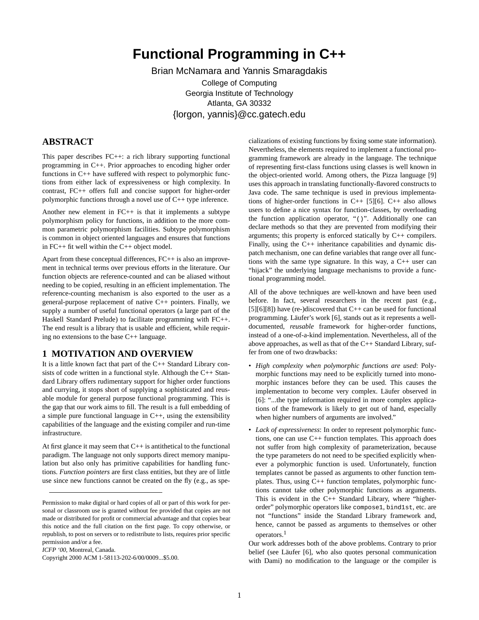# **Functional Programming in C++**

Brian McNamara and Yannis Smaragdakis College of Computing Georgia Institute of Technology Atlanta, GA 30332 {lorgon, yannis}@cc.gatech.edu

# **ABSTRACT**

This paper describes FC++: a rich library supporting functional programming in C++. Prior approaches to encoding higher order functions in C++ have suffered with respect to polymorphic functions from either lack of expressiveness or high complexity. In contrast, FC++ offers full and concise support for higher-order polymorphic functions through a novel use of C++ type inference.

Another new element in FC++ is that it implements a subtype polymorphism policy for functions, in addition to the more common parametric polymorphism facilities. Subtype polymorphism is common in object oriented languages and ensures that functions in FC++ fit well within the C++ object model.

Apart from these conceptual differences, FC++ is also an improvement in technical terms over previous efforts in the literature. Our function objects are reference-counted and can be aliased without needing to be copied, resulting in an efficient implementation. The reference-counting mechanism is also exported to the user as a general-purpose replacement of native C++ pointers. Finally, we supply a number of useful functional operators (a large part of the Haskell Standard Prelude) to facilitate programming with FC++. The end result is a library that is usable and efficient, while requiring no extensions to the base C++ language.

## **1 MOTIVATION AND OVERVIEW**

It is a little known fact that part of the C++ Standard Library consists of code written in a functional style. Although the C++ Standard Library offers rudimentary support for higher order functions and currying, it stops short of supplying a sophisticated and reusable module for general purpose functional programming. This is the gap that our work aims to fill. The result is a full embedding of a simple pure functional language in C++, using the extensibility capabilities of the language and the existing compiler and run-time infrastructure.

At first glance it may seem that  $C++$  is antithetical to the functional paradigm. The language not only supports direct memory manipulation but also only has primitive capabilities for handling functions. *Function pointers* are first class entities, but they are of little use since new functions cannot be created on the fly (e.g., as spe-

*ICFP '00*, Montreal, Canada.

cializations of existing functions by fixing some state information). Nevertheless, the elements required to implement a functional programming framework are already in the language. The technique of representing first-class functions using classes is well known in the object-oriented world. Among others, the Pizza language [\[9\]](#page-11-0) uses this approach in translating functionally-flavored constructs to Java code. The same technique is used in previous implementations of higher-order functions in C++ [\[5\]\[6\].](#page-11-0) C++ also allows users to define a nice syntax for function-classes, by overloading the function application operator, "()". Additionally one can declare methods so that they are prevented from modifying their arguments; this property is enforced statically by C++ compilers. Finally, using the C++ inheritance capabilities and dynamic dispatch mechanism, one can define variables that range over all functions with the same type signature. In this way, a C++ user can "hijack" the underlying language mechanisms to provide a functional programming model.

All of the above techniques are well-known and have been used before. In fact, several researchers in the recent past (e.g., [\[5\]\[6\]\[8\]\)](#page-11-0) have (re-)discovered that  $C++$  can be used for functional programming. Läufer's work [\[6\],](#page-11-0) stands out as it represents a welldocumented, *reusable* framework for higher-order functions, instead of a one-of-a-kind implementation. Nevertheless, all of the above approaches, as well as that of the C++ Standard Library, suffer from one of two drawbacks:

- *High complexity when polymorphic functions are used*: Polymorphic functions may need to be explicitly turned into monomorphic instances before they can be used. This causes the implementation to become very complex. Läufer observed in [\[6\]:](#page-11-0) "...the type information required in more complex applications of the framework is likely to get out of hand, especially when higher numbers of arguments are involved."
- *Lack of expressiveness*: In order to represent polymorphic functions, one can use C++ function templates. This approach does not suffer from high complexity of parameterization, because the type parameters do not need to be specified explicitly whenever a polymorphic function is used. Unfortunately, function templates cannot be passed as arguments to other function templates. Thus, using C++ function templates, polymorphic functions cannot take other polymorphic functions as arguments. This is evident in the C++ Standard Library, where "higherorder" polymorphic operators like compose1, bind1st, etc. are not "functions" inside the Standard Library framework and, hence, cannot be passed as arguments to themselves or other operators.<sup>1</sup>

Our work addresses both of the above problems. Contrary to prior belief (see Läufer [\[6\],](#page-11-0) who also quotes personal communication with Dami) no modification to the language or the compiler is

Permission to make digital or hard copies of all or part of this work for personal or classroom use is granted without fee provided that copies are not made or distributed for profit or commercial advantage and that copies bear this notice and the full citation on the first page. To copy otherwise, or republish, to post on servers or to redistribute to lists, requires prior specific permission and/or a fee.

Copyright 2000 ACM 1-58113-202-6/00/0009...\$5.00.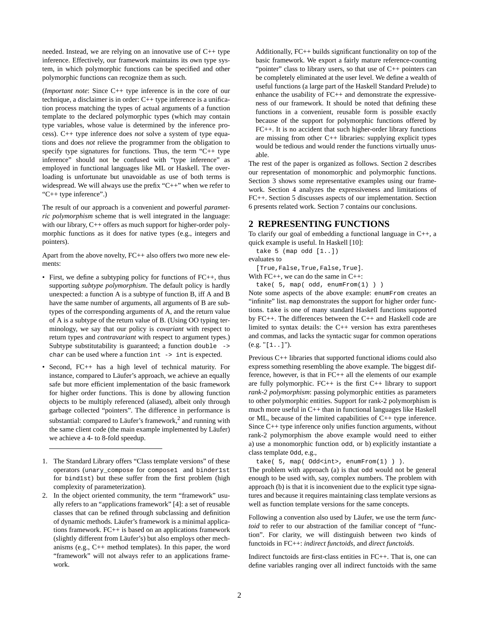needed. Instead, we are relying on an innovative use of C++ type inference. Effectively, our framework maintains its own type system, in which polymorphic functions can be specified and other polymorphic functions can recognize them as such.

(*Important note*: Since C++ type inference is in the core of our technique, a disclaimer is in order:  $C++$  type inference is a unification process matching the types of actual arguments of a function template to the declared polymorphic types (which may contain type variables, whose value is determined by the inference process). C++ type inference does *not* solve a system of type equations and does *not* relieve the programmer from the obligation to specify type signatures for functions. Thus, the term "C++ type inference" should not be confused with "type inference" as employed in functional languages like ML or Haskell. The overloading is unfortunate but unavoidable as use of both terms is widespread. We will always use the prefix "C++" when we refer to "C++ type inference".)

The result of our approach is a convenient and powerful *parametric polymorphism* scheme that is well integrated in the language: with our library, C++ offers as much support for higher-order polymorphic functions as it does for native types (e.g., integers and pointers).

Apart from the above novelty, FC++ also offers two more new elements:

- First, we define a subtyping policy for functions of  $FC_{++}$ , thus supporting *subtype polymorphism*. The default policy is hardly unexpected: a function A is a subtype of function B, iff A and B have the same number of arguments, all arguments of B are subtypes of the corresponding arguments of A, and the return value of A is a subtype of the return value of B. (Using OO typing terminology, we say that our policy is *covariant* with respect to return types and *contravariant* with respect to argument types.) Subtype substitutability is guaranteed; a function double -> char can be used where a function int -> int is expected.
- Second, FC++ has a high level of technical maturity. For instance, compared to Läufer's approach, we achieve an equally safe but more efficient implementation of the basic framework for higher order functions. This is done by allowing function objects to be multiply referenced (aliased), albeit only through garbage collected "pointers". The difference in performance is substantial: compared to Läufer's framework, $<sup>2</sup>$  and running with</sup> the same client code (the main example implemented by Läufer) we achieve a 4- to 8-fold speedup.
- 1. The Standard Library offers "Class template versions" of these operators (unary\_compose for compose1 and binder1st for bind1st) but these suffer from the first problem (high complexity of parameterization).
- 2. In the object oriented community, the term "framework" usually refers to an "applications framework" [\[4\]:](#page-11-0) a set of reusable classes that can be refined through subclassing and definition of dynamic methods. Läufer's framework is a minimal applications framework. FC++ is based on an applications framework (slightly different from Läufer's) but also employs other mechanisms (e.g., C++ method templates). In this paper, the word "framework" will not always refer to an applications framework.

Additionally, FC++ builds significant functionality on top of the basic framework. We export a fairly mature reference-counting "pointer" class to library users, so that use of  $C_{++}$  pointers can be completely eliminated at the user level. We define a wealth of useful functions (a large part of the Haskell Standard Prelude) to enhance the usability of FC++ and demonstrate the expressiveness of our framework. It should be noted that defining these functions in a convenient, reusable form is possible exactly because of the support for polymorphic functions offered by FC++. It is no accident that such higher-order library functions are missing from other C++ libraries: supplying explicit types would be tedious and would render the functions virtually unusable.

The rest of the paper is organized as follows. Section 2 describes our representation of monomorphic and polymorphic functions. [Section 3](#page-6-0) shows some representative examples using our framework. [Section 4](#page-8-0) analyzes the expressiveness and limitations of FC++. [Section 5](#page-9-0) discusses aspects of our implementation. [Section](#page-10-0) [6](#page-10-0) presents related work. [Section 7 c](#page-11-0)ontains our conclusions.

#### **2 REPRESENTING FUNCTIONS**

To clarify our goal of embedding a functional language in C++, a quick example is useful. In Haskell [\[10\]:](#page-11-0)

take 5 (map odd [1..])

evaluates to

[True,False,True,False,True].

With FC++, we can do the same in C++: take( 5, map( odd, enumFrom(1) ) )

Note some aspects of the above example: enumFrom creates an "infinite" list. map demonstrates the support for higher order functions. take is one of many standard Haskell functions supported by FC++. The differences between the C++ and Haskell code are limited to syntax details: the C++ version has extra parentheses and commas, and lacks the syntactic sugar for common operations (e.g. "[1..]").

Previous C++ libraries that supported functional idioms could also express something resembling the above example. The biggest difference, however, is that in FC++ all the elements of our example are fully polymorphic. FC++ is the first C++ library to support *rank-2 polymorphism*: passing polymorphic entities as parameters to other polymorphic entities. Support for rank-2 polymorphism is much more useful in C++ than in functional languages like Haskell or ML, because of the limited capabilities of C++ type inference. Since C++ type inference only unifies function arguments, without rank-2 polymorphism the above example would need to either a) use a monomorphic function odd, or b) explicitly instantiate a class template Odd, e.g.,

take( 5, map( Odd<int>, enumFrom(1) ) ).

The problem with approach (a) is that odd would not be general enough to be used with, say, complex numbers. The problem with approach (b) is that it is inconvenient due to the explicit type signatures and because it requires maintaining class template versions as well as function template versions for the same concepts.

Following a convention also used by Läufer, we use the term *functoid* to refer to our abstraction of the familiar concept of "function". For clarity, we will distinguish between two kinds of functoids in FC++: *indirect functoids*, and *direct functoids*.

Indirect functoids are first-class entities in FC++. That is, one can define variables ranging over all indirect functoids with the same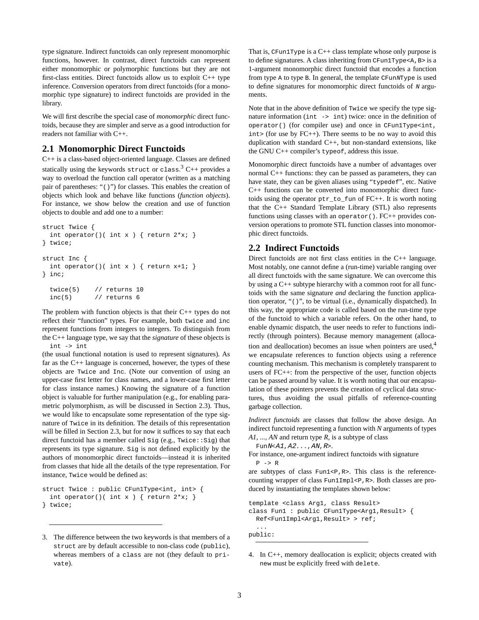<span id="page-2-0"></span>type signature. Indirect functoids can only represent monomorphic functions, however. In contrast, direct functoids can represent either monomorphic or polymorphic functions but they are not first-class entities. Direct functoids allow us to exploit C++ type inference. Conversion operators from direct functoids (for a monomorphic type signature) to indirect functoids are provided in the library.

We will first describe the special case of *monomorphic* direct functoids, because they are simpler and serve as a good introduction for readers not familiar with C++.

#### **2.1 Monomorphic Direct Functoids**

C++ is a class-based object-oriented language. Classes are defined statically using the keywords  $\text{struct}$  or  $\text{class.}^3$  C++ provides a way to overload the function call operator (written as a matching pair of parentheses: "()") for classes. This enables the creation of objects which look and behave like functions (*function objects*). For instance, we show below the creation and use of function objects to double and add one to a number:

```
struct Twice {
 int operator()( int x ) { return 2*x; }
} twice;
struct Inc {
 int operator()( int x ) { return x+1; }
} inc;
 twice(5) // returns 10
 inc(5) // returns 6
```
The problem with function objects is that their C++ types do not reflect their "function" types. For example, both twice and inc represent functions from integers to integers. To distinguish from the C++ language type, we say that the *signature* of these objects is int -> int

(the usual functional notation is used to represent signatures). As far as the C++ language is concerned, however, the types of these objects are Twice and Inc. (Note our convention of using an upper-case first letter for class names, and a lower-case first letter for class instance names.) Knowing the signature of a function object is valuable for further manipulation (e.g., for enabling parametric polymorphism, as will be discussed in [Section 2.3\)](#page-3-0). Thus, we would like to encapsulate some representation of the type signature of Twice in its definition. The details of this representation will be filled in [Section 2.3](#page-3-0), but for now it suffices to say that each direct functoid has a member called  $\text{Sig}(e.g.,\text{Twice}::\text{Sig})$  that represents its type signature. Sig is not defined explicitly by the authors of monomorphic direct functoids—instead it is inherited from classes that hide all the details of the type representation. For instance, Twice would be defined as:

```
struct Twice : public CFun1Type<int, int> {
 int operator()( int x ) { return 2*x; }
} twice;
```
That is,  $C$ Fun1Type is a  $C++$  class template whose only purpose is to define signatures. A class inheriting from CFun1Type<A,B> is a 1-argument monomorphic direct functoid that encodes a function from type A to type B. In general, the template CFunNType is used to define signatures for monomorphic direct functoids of  $N$  arguments.

Note that in the above definition of Twice we specify the type signature information (int -> int) twice: once in the definition of operator() (for compiler use) and once in CFun1Type<int, int> (for use by FC++). There seems to be no way to avoid this duplication with standard C++, but non-standard extensions, like the GNU C++ compiler's typeof, address this issue.

Monomorphic direct functoids have a number of advantages over normal C++ functions: they can be passed as parameters, they can have state, they can be given aliases using "typedef", etc. Native C++ functions can be converted into monomorphic direct functoids using the operator ptr\_to\_fun of FC++. It is worth noting that the C++ Standard Template Library (STL) also represents functions using classes with an operator(). FC++ provides conversion operations to promote STL function classes into monomorphic direct functoids.

#### **2.2 Indirect Functoids**

Direct functoids are not first class entities in the C++ language. Most notably, one cannot define a (run-time) variable ranging over all direct functoids with the same signature. We can overcome this by using a C++ subtype hierarchy with a common root for all functoids with the same signature *and* declaring the function application operator, "()", to be virtual (i.e., dynamically dispatched). In this way, the appropriate code is called based on the run-time type of the functoid to which a variable refers. On the other hand, to enable dynamic dispatch, the user needs to refer to functions indirectly (through pointers). Because memory management (allocation and deallocation) becomes an issue when pointers are used, $4$ we encapsulate references to function objects using a reference counting mechanism. This mechanism is completely transparent to users of FC++: from the perspective of the user, function objects can be passed around by value. It is worth noting that our encapsulation of these pointers prevents the creation of cyclical data structures, thus avoiding the usual pitfalls of reference-counting garbage collection.

*Indirect functoids* are classes that follow the above design. An indirect functoid representing a function with *N* arguments of types *A1*, *..., AN* and return type *R*, is a subtype of class

 $FunN< A1, A2...$ ,  $AN, R$ .

For instance, one-argument indirect functoids with signature P -> R

are subtypes of class Fun1<P,R>. This class is the referencecounting wrapper of class Fun1Impl<P,R>. Both classes are produced by instantiating the templates shown below:

template <class Arg1, class Result> class Fun1 : public CFun1Type<Arg1,Result> { Ref<Fun1Impl<Arg1,Result> > ref; ...

<sup>3.</sup> The difference between the two keywords is that members of a  $\qquad \qquad \text{public}:$ struct are by default accessible to non-class code (public), whereas members of a class are not (they default to private).

<sup>4.</sup> In C++, memory deallocation is explicit; objects created with new must be explicitly freed with delete.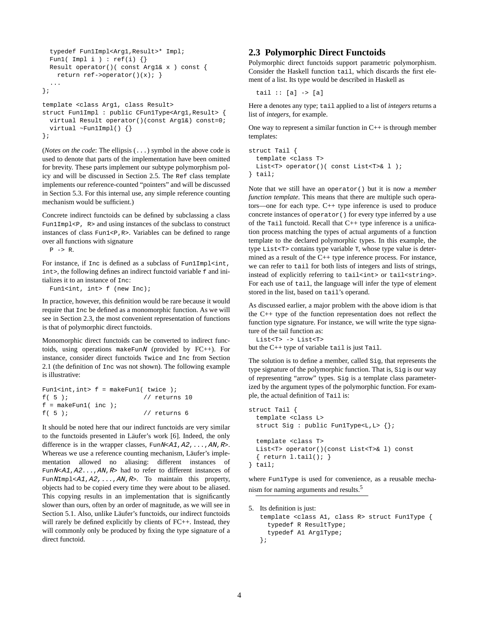```
typedef Fun1Impl<Arg1,Result>* Impl;
 Fun1( Impl i ) : ref(i) {}
 Result operator()( const Arg1& x ) const {
   return ref->operator()(x); }
  ...
};
template <class Arg1, class Result>
struct Fun1Impl : public CFun1Type<Arg1,Result> {
 virtual Result operator()(const Arg1&) const=0;
```
virtual ~Fun1Impl() {} };

(*Notes on the code*: The ellipsis (...) symbol in the above code is used to denote that parts of the implementation have been omitted for brevity. These parts implement our subtype polymorphism policy and will be discussed in [Section 2.5.](#page-6-0) The Ref class template implements our reference-counted "pointers" and will be discussed in [Section 5.3.](#page-10-0) For this internal use, any simple reference counting mechanism would be sufficient.)

Concrete indirect functoids can be defined by subclassing a class Fun1Impl<P, R> and using instances of the subclass to construct instances of class Fun1<P,R>. Variables can be defined to range over all functions with signature

P -> R.

For instance, if Inc is defined as a subclass of Fun1Impl<int, int>, the following defines an indirect functoid variable f and initializes it to an instance of Inc:

Funl<int, int>  $f$  (new Inc);

In practice, however, this definition would be rare because it would require that Inc be defined as a monomorphic function. As we will see in Section 2.3, the most convenient representation of functions is that of polymorphic direct functoids.

Monomorphic direct functoids can be converted to indirect functoids, using operations makeFun<sup>N</sup> (provided by FC++). For instance, consider direct functoids Twice and Inc from [Section](#page-2-0) [2.1](#page-2-0) (the definition of Inc was not shown). The following example is illustrative:

```
Fun1<int, int> f = makeFun1( twice );
f( 5 ); // returns 10
f = makeFun1(int inc);
f(5); // returns 6
```
It should be noted here that our indirect functoids are very similar to the functoids presented in Läufer's work [\[6\].](#page-11-0) Indeed, the only difference is in the wrapper classes,  $FunN< A1, A2, \ldots, AN, R>$ . Whereas we use a reference counting mechanism, Läufer's implementation allowed no aliasing: different instances of FunN<A1, A2..., AN, R> had to refer to different instances of FunNImpl <A1, A2,  $\dots$ , AN, R>. To maintain this property, objects had to be copied every time they were about to be aliased. This copying results in an implementation that is significantly slower than ours, often by an order of magnitude, as we will see in [Section 5.1.](#page-9-0) Also, unlike Läufer's functoids, our indirect functoids will rarely be defined explicitly by clients of FC++. Instead, they will commonly only be produced by fixing the type signature of a direct functoid.

## **2.3 Polymorphic Direct Functoids**

Polymorphic direct functoids support parametric polymorphism. Consider the Haskell function tail, which discards the first element of a list. Its type would be described in Haskell as

```
tail :: [a] \rightarrow [a]
```
Here a denotes any type; tail applied to a list of *integers* returns a list of *integers*, for example.

One way to represent a similar function in  $C_{++}$  is through member templates:

```
struct Tail {
 template <class T>
 List<T> operator()( const List<T>& l );
} tail;
```
Note that we still have an operator() but it is now a *member function template*. This means that there are multiple such operators—one for each type. C++ type inference is used to produce concrete instances of operator() for every type inferred by a use of the Tail functoid. Recall that C++ type inference is a unification process matching the types of actual arguments of a function template to the declared polymorphic types. In this example, the type List<T> contains type variable T, whose type value is determined as a result of the C++ type inference process. For instance, we can refer to tail for both lists of integers and lists of strings, instead of explicitly referring to tail<int> or tail<string>. For each use of tail, the language will infer the type of element stored in the list, based on tail's operand.

As discussed earlier, a major problem with the above idiom is that the C++ type of the function representation does not reflect the function type signature. For instance, we will write the type signature of the tail function as:

```
List<T> -> List<T>
but the C++ type of variable tail is just Tail.
```
The solution is to define a member, called Sig, that represents the type signature of the polymorphic function. That is, Sig is our way of representing "arrow" types. Sig is a template class parameterized by the argument types of the polymorphic function. For example, the actual definition of Tail is:

```
struct Tail {
  template <class L>
  struct Sig : public Fun1Type<L,L> {};
  template <class T>
 List<T> operator()(const List<T>& l) const
  \{ return l.tail(); \}} tail;
```
where Fun1Type is used for convenience, as a reusable mechanism for naming arguments and results.<sup>5</sup>

```
5. Its definition is just:
   template <class A1, class R> struct Fun1Type {
     typedef R ResultType;
     typedef A1 Arg1Type;
   };
```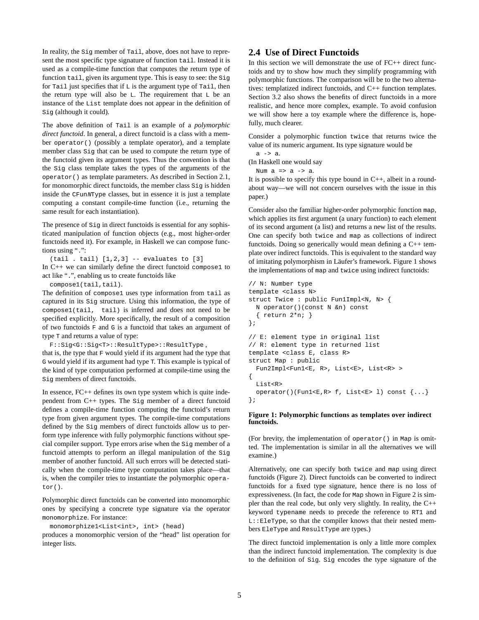<span id="page-4-0"></span>In reality, the Sig member of Tail, above, does not have to represent the most specific type signature of function tail. Instead it is used as a compile-time function that computes the return type of function tail, given its argument type. This is easy to see: the Sig for Tail just specifies that if L is the argument type of Tail, then the return type will also be  $L$ . The requirement that  $L$  be an instance of the List template does not appear in the definition of Sig (although it could).

The above definition of Tail is an example of a *polymorphic direct functoid*. In general, a direct functoid is a class with a member operator() (possibly a template operator), and a template member class Sig that can be used to compute the return type of the functoid given its argument types. Thus the convention is that the Sig class template takes the types of the arguments of the operator() as template parameters. As described in [Section 2.1,](#page-2-0) for monomorphic direct functoids, the member class Sig is hidden inside the CFunNType classes, but in essence it is just a template computing a constant compile-time function (i.e., returning the same result for each instantiation).

The presence of Sig in direct functoids is essential for any sophisticated manipulation of function objects (e.g., most higher-order functoids need it). For example, in Haskell we can compose functions using ".":

 $(tail . tail) [1, 2, 3] -- evaluates to [3]$ In C++ we can similarly define the direct functoid compose1 to act like ".", enabling us to create functoids like

composel(tail,tail).

The definition of compose1 uses type information from tail as captured in its Sig structure. Using this information, the type of compose1(tail, tail) is inferred and does not need to be specified explicitly. More specifically, the result of a composition of two functoids F and G is a functoid that takes an argument of type T and returns a value of type:

F::Sig<G::Sig<T>::ResultType>::ResultType , that is, the type that F would yield if its argument had the type that G would yield if its argument had type T. This example is typical of the kind of type computation performed at compile-time using the Sig members of direct functoids.

In essence, FC++ defines its own type system which is quite independent from C++ types. The Sig member of a direct functoid defines a compile-time function computing the functoid's return type from given argument types. The compile-time computations defined by the Sig members of direct functoids allow us to perform type inference with fully polymorphic functions without special compiler support. Type errors arise when the Sig member of a functoid attempts to perform an illegal manipulation of the Sig member of another functoid. All such errors will be detected statically when the compile-time type computation takes place—that is, when the compiler tries to instantiate the polymorphic operator().

Polymorphic direct functoids can be converted into monomorphic ones by specifying a concrete type signature via the operator monomorphize. For instance:

monomorphize1<List<int>, int> (head)

produces a monomorphic version of the "head" list operation for integer lists.

## **2.4 Use of Direct Functoids**

In this section we will demonstrate the use of FC++ direct functoids and try to show how much they simplify programming with polymorphic functions. The comparison will be to the two alternatives: templatized indirect functoids, and C++ function templates. [Section 3.2](#page-6-0) also shows the benefits of direct functoids in a more realistic, and hence more complex, example. To avoid confusion we will show here a toy example where the difference is, hopefully, much clearer.

Consider a polymorphic function twice that returns twice the value of its numeric argument. Its type signature would be

 $a \rightarrow a$ .

(In Haskell one would say

Num  $a \Rightarrow a \Rightarrow a$ .

It is possible to specify this type bound in  $C_{++}$ , albeit in a roundabout way—we will not concern ourselves with the issue in this paper.)

Consider also the familiar higher-order polymorphic function map, which applies its first argument (a unary function) to each element of its second argument (a list) and returns a new list of the results. One can specify both twice and map as collections of indirect functoids. Doing so generically would mean defining a C++ template over indirect functoids. This is equivalent to the standard way of imitating polymorphism in Läufer's framework. Figure 1 shows the implementations of map and twice using indirect functoids:

```
// N: Number type
template <class N>
struct Twice : public Fun1Impl<N, N> {
  N operator()(const N &n) const
  \{ return 2*n: \}};
// E: element type in original list
// R: element type in returned list
template <class E, class R>
struct Map : public
  Fun2Impl<Fun1<E, R>, List<E>, List<R>>>>>>>>
{
  List<R>
  operator()(Fun1<E, R> f, List<E> 1) const \{ \ldots \}};
```
#### **Figure 1: Polymorphic functions as templates over indirect functoids.**

(For brevity, the implementation of operator() in Map is omitted. The implementation is similar in all the alternatives we will examine.)

Alternatively, one can specify both twice and map using direct functoids ([Figure 2\)](#page-5-0). Direct functoids can be converted to indirect functoids for a fixed type signature, hence there is no loss of expressiveness. (In fact, the code for Map shown in [Figure 2](#page-5-0) is simpler than the real code, but only very slightly. In reality, the C++ keyword typename needs to precede the reference to RT1 and L::EleType, so that the compiler knows that their nested members EleType and ResultType are types.)

The direct functoid implementation is only a little more complex than the indirect functoid implementation. The complexity is due to the definition of Sig. Sig encodes the type signature of the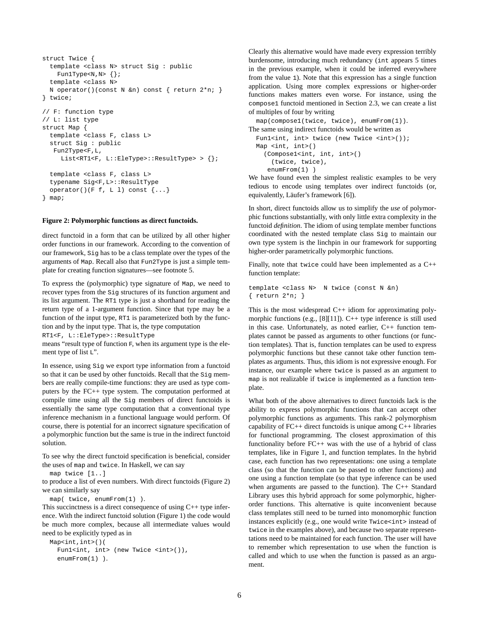```
struct Twice {
 template <class N> struct Sig : public
   Fun1Type<N, N> {};
  template <class N>
 N operator()(const N &n) const { return 2*n; }
} twice;
// F: function type
// L: list type
struct Map {
 template <class F, class L>
 struct Sig : public
  Fun2Type<F,L,
    List<RT1<F, L::EleType>::ResultType> > {};
  template <class F, class L>
  typename Sig<F,L>::ResultType
  operator()(F f, L l) const \{ \ldots \}} map;
```
#### **Figure 2: Polymorphic functions as direct functoids.**

direct functoid in a form that can be utilized by all other higher order functions in our framework. According to the convention of our framework, Sig has to be a class template over the types of the arguments of Map. Recall also that Fun2Type is just a simple template for creating function signatures—see footnote 5[.](#page-3-0)

To express the (polymorphic) type signature of Map, we need to recover types from the Sig structures of its function argument and its list argument. The RT1 type is just a shorthand for reading the return type of a 1-argument function. Since that type may be a function of the input type, RT1 is parameterized both by the function and by the input type. That is, the type computation

RT1<F, L::EleType>::ResultType

means "result type of function F, when its argument type is the element type of list L".

In essence, using Sig we export type information from a functoid so that it can be used by other functoids. Recall that the  $\sin \theta$  members are really compile-time functions: they are used as type computers by the FC++ type system. The computation performed at compile time using all the Sig members of direct functoids is essentially the same type computation that a conventional type inference mechanism in a functional language would perform. Of course, there is potential for an incorrect signature specification of a polymorphic function but the same is true in the indirect functoid solution.

To see why the direct functoid specification is beneficial, consider the uses of map and twice. In Haskell, we can say

map twice [1..]

to produce a list of even numbers. With direct functoids (Figure 2) we can similarly say

map( twice, enumFrom(1) ).

This succinctness is a direct consequence of using  $C++$  type inference. With the indirect functoid solution ([Figure 1\)](#page-4-0) the code would be much more complex, because all intermediate values would need to be explicitly typed as in

```
Map<int,int>()(
 Funl<int, int> (new Twice <int>()),
  enumFrom(1) ).
```
Clearly this alternative would have made every expression terribly burdensome, introducing much redundancy (int appears 5 times in the previous example, when it could be inferred everywhere from the value 1). Note that this expression has a single function application. Using more complex expressions or higher-order functions makes matters even worse. For instance, using the compose1 functoid mentioned in [Section 2.3,](#page-3-0) we can create a list of multiples of four by writing

map(compose1(twice, twice), enumFrom(1)). The same using indirect functoids would be written as Fun1<int, int> twice (new Twice <int>()); Map <int, int>() (Compose1<int, int, int>() (twice, twice), enumFrom(1) )

We have found even the simplest realistic examples to be very tedious to encode using templates over indirect functoids (or, equivalently, Läufer's framework [\[6\]\).](#page-11-0)

In short, direct functoids allow us to simplify the *use* of polymorphic functions substantially, with only little extra complexity in the functoid *definition*. The idiom of using template member functions coordinated with the nested template class Sig to maintain our own type system is the linchpin in our framework for supporting higher-order parametrically polymorphic functions.

Finally, note that twice could have been implemented as a C++ function template:

```
template <class N> N twice (const N &n)
\{ return 2*n: \}
```
This is the most widespread C++ idiom for approximating polymorphic functions (e.g., [\[8\]\[11\]\)](#page-11-0). C++ type inference is still used in this case. Unfortunately, as noted earlier, C++ function templates cannot be passed as arguments to other functions (or function templates). That is, function templates can be used to express polymorphic functions but these cannot take other function templates as arguments. Thus, this idiom is not expressive enough. For instance, our example where twice is passed as an argument to map is not realizable if twice is implemented as a function template.

What both of the above alternatives to direct functoids lack is the ability to express polymorphic functions that can accept other polymorphic functions as arguments. This rank-2 polymorphism capability of FC++ direct functoids is unique among C++ libraries for functional programming. The closest approximation of this functionality before FC++ was with the use of a hybrid of class templates, like in [Figure 1,](#page-4-0) and function templates. In the hybrid case, each function has two representations: one using a template class (so that the function can be passed to other functions) and one using a function template (so that type inference can be used when arguments are passed to the function). The C++ Standard Library uses this hybrid approach for some polymorphic, higherorder functions. This alternative is quite inconvenient because class templates still need to be turned into monomorphic function instances explicitly (e.g., one would write Twice<int> instead of twice in the examples above), and because two separate representations need to be maintained for each function. The user will have to remember which representation to use when the function is called and which to use when the function is passed as an argument.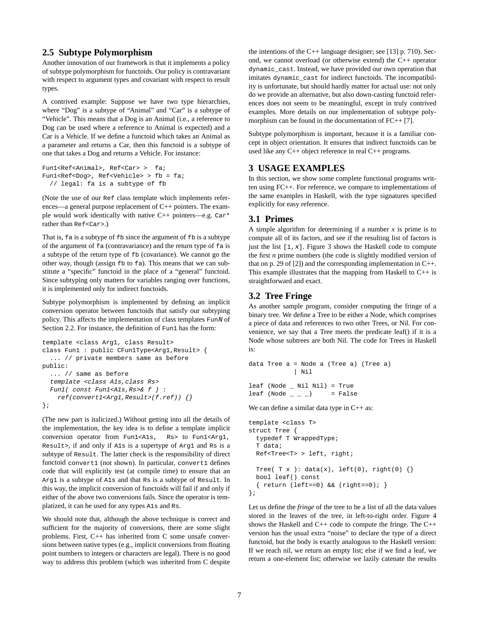#### <span id="page-6-0"></span>**2.5 Subtype Polymorphism**

Another innovation of our framework is that it implements a policy of subtype polymorphism for functoids. Our policy is contravariant with respect to argument types and covariant with respect to result types.

A contrived example: Suppose we have two type hierarchies, where "Dog" is a subtype of "Animal" and "Car" is a subtype of "Vehicle". This means that a Dog is an Animal (i.e., a reference to Dog can be used where a reference to Animal is expected) and a Car is a Vehicle. If we define a functoid which takes an Animal as a parameter and returns a Car, then this functoid is a subtype of one that takes a Dog and returns a Vehicle. For instance:

```
Fun1<Ref<Animal>, Ref<Car> > fa;
Fun1<Ref<Dog>, Ref<Vehicle> > fb = fa;
  // legal: fa is a subtype of fb
```
(Note the use of our Ref class template which implements references—a general purpose replacement of C++ pointers. The example would work identically with native C++ pointers—e.g. Car\* rather than Ref <Car>.)

That is, fa is a subtype of fb since the argument of fb is a subtype of the argument of fa (contravariance) and the return type of fa is a subtype of the return type of fb (covariance). We cannot go the other way, though (assign fb to fa). This means that we can substitute a "specific" functoid in the place of a "general" functoid. Since subtyping only matters for variables ranging over functions, it is implemented only for indirect functoids.

Subtype polymorphism is implemented by defining an implicit conversion operator between functoids that satisfy our subtyping policy. This affects the implementation of class templates Fun<sup>N</sup> of [Section 2.2.](#page-2-0) For instance, the definition of Fun1 has the form:

```
template <class Arg1, class Result>
class Fun1 : public CFun1Type<Arg1,Result> {
  ... // private members same as before
public:
  ... // same as before
  template <class A1s,class Rs>
 Fun1( const Fun1<A1s,Rs>& f ) :
    ref(convert1<Arg1,Result>(f.ref)) {}
};
```
(The new part is italicized.) Without getting into all the details of the implementation, the key idea is to define a template implicit conversion operator from Fun1<A1s, Rs> to Fun1<Arg1, Result>, if and only if A1s is a supertype of Arg1 and Rs is a subtype of Result. The latter check is the responsibility of direct functoid convert1 (not shown). In particular, convert1 defines code that will explicitly test (at compile time) to ensure that an Arg1 is a subtype of A1s and that Rs is a subtype of Result. In this way, the implicit conversion of functoids will fail if and only if either of the above two conversions fails. Since the operator is templatized, it can be used for any types A1s and Rs.

We should note that, although the above technique is correct and sufficient for the majority of conversions, there are some slight problems. First, C++ has inherited from C some unsafe conversions between native types (e.g., implicit conversions from floating point numbers to integers or characters are legal). There is no good way to address this problem (which was inherited from C despite

the intentions of the  $C_{++}$  language designer; see [\[13\]](#page-11-0) p. 710). Second, we cannot overload (or otherwise extend) the C++ operator dynamic\_cast. Instead, we have provided our own operation that imitates dynamic\_cast for indirect functoids. The incompatibility is unfortunate, but should hardly matter for actual use: not only do we provide an alternative, but also down-casting functoid references does not seem to be meaningful, except in truly contrived examples. More details on our implementation of subtype polymorphism can be found in the documentation of  $FC++ [7]$ .

Subtype polymorphism is important, because it is a familiar concept in object orientation. It ensures that indirect functoids can be used like any C++ object reference in real C++ programs.

# **3 USAGE EXAMPLES**

In this section, we show some complete functional programs written using FC++. For reference, we compare to implementations of the same examples in Haskell, with the type signatures specified explicitly for easy reference.

#### **3.1 Primes**

A simple algorithm for determining if a number  $x$  is prime is to compute all of its factors, and see if the resulting list of factors is just the list  $[1, x]$ . [Figure 3](#page-7-0) shows the Haskell code to compute the first *n* prime numbers (the code is slightly modified version of that on p. 29 of  $[2]$ ) and the corresponding implementation in C++. This example illustrates that the mapping from Haskell to  $C_{++}$  is straightforward and exact.

#### **3.2 Tree Fringe**

As another sample program, consider computing the fringe of a binary tree. We define a Tree to be either a Node, which comprises a piece of data and references to two other Trees, or Nil. For convenience, we say that a Tree meets the predicate leaf() if it is a Node whose subtrees are both Nil. The code for Trees in Haskell is:

```
data Tree a = Node a (Tree a) (Tree a)
             | Nil
leaf (Node _ Nil Nil) = True
leaf (Node \angle \angle \angle ) = False
```
We can define a similar data type in C++ as:

```
template <class T>
struct Tree {
 typedef T WrappedType;
 T data;
 Ref<Tree<T> > left, right;
 Tree( T x ): data(x), left(0), right(0) {}
 bool leaf() const
  \{ return (left==0) && (right==0); \}};
```
Let us define the *fringe* of the tree to be a list of all the data values stored in the leaves of the tree, in left-to-right order. [Figure 4](#page-7-0) shows the Haskell and  $C_{++}$  code to compute the fringe. The  $C_{++}$ version has the usual extra "noise" to declare the type of a direct functoid, but the body is exactly analogous to the Haskell version: If we reach nil, we return an empty list; else if we find a leaf, we return a one-element list; otherwise we lazily catenate the results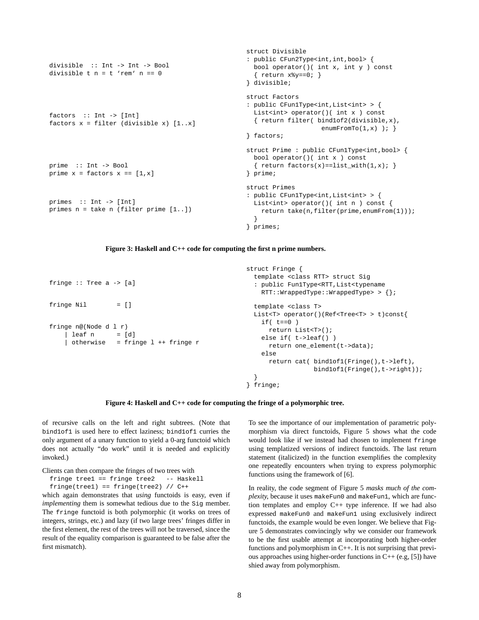```
divisible :: Int -> Int -> Bool
divisible t n = t 'rem' n == 0factors :: Int -> [Int]
factors x = filter (divisible x) [1..x]prime :: Int -> Bool
prime x = factors x == [1, x]primes :: Int -> [Int]
primes n = take n (filter prime [1..])
                                                      struct Divisible
                                                      : public CFun2Type<int,int,bool> {
                                                       bool operator()( int x, int y ) const
                                                        \{ return x\overline{y} == 0; \}} divisible;
                                                      struct Factors
                                                      : public CFun1Type<int,List<int> > {
                                                        List<int> operator()( int x ) const
                                                        { return filter( bind1of2(divisible,x),
                                                                          enumFromTo(1,x) ); }
                                                      } factors;
                                                      struct Prime : public CFun1Type<int,bool> {
                                                        bool operator()( int x ) const
                                                        { return factors(x) ==list_with(1,x); }
                                                      } prime;
                                                      struct Primes
                                                      : public CFun1Type<int,List<int> > {
                                                       List<int> operator()( int n ) const {
                                                         return take(n,filter(prime,enumFrom(1)));
                                                        }
                                                      } primes;
```
**Figure 3: Haskell and C++ code for computing the first n prime numbers.**

```
fringe :: Tree a -> [a]
fringe Nil = []
fringe n@(Node d l r)
     leaf n = [d]| otherwise = fringe l ++ fringe r
                                                   struct Fringe {
                                                     template <class RTT> struct Sig
                                                     : public Fun1Type<RTT,List<typename
                                                       RTT::WrappedType::WrappedType> > {}template <class T>
                                                     List<T> operator()(Ref<Tree<T> > t)const{
                                                       if(t==0)
                                                         return List<T>();
                                                       else if( t->leaf() )
                                                        return one_element(t->data);
                                                       else
                                                         return cat( bind1of1(Fringe(),t->left),
                                                                     bind1of1(Fringe(),t->right));
                                                     }
                                                   } fringe;
```


of recursive calls on the left and right subtrees. (Note that bind1of1 is used here to effect laziness; bind1of1 curries the only argument of a unary function to yield a 0-arg functoid which does not actually "do work" until it is needed and explicitly invoked.)

Clients can then compare the fringes of two trees with

fringe tree1 == fringe tree2 -- Haskell

 $fringe(tree1) == fringe(tree2)$  //  $C++$ 

which again demonstrates that *using* functoids is easy, even if *implementing* them is somewhat tedious due to the Sig member. The fringe functoid is both polymorphic (it works on trees of integers, strings, etc.) and lazy (if two large trees' fringes differ in the first element, the rest of the trees will not be traversed, since the result of the equality comparison is guaranteed to be false after the first mismatch).

To see the importance of our implementation of parametric polymorphism via direct functoids, [Figure 5](#page-8-0) shows what the code would look like if we instead had chosen to implement fringe using templatized versions of indirect functoids. The last return statement (italicized) in the function exemplifies the complexity one repeatedly encounters when trying to express polymorphic functions using the framework of [\[6\].](#page-11-0)

In reality, the code segment of [Figure 5](#page-8-0) *masks much of the complexity*, because it uses makeFun0 and makeFun1, which are function templates and employ C++ type inference. If we had also expressed makeFun0 and makeFun1 using exclusively indirect functoids, the example would be even longer. We believe that [Fig](#page-8-0)[ure 5](#page-8-0) demonstrates convincingly why we consider our framework to be the first usable attempt at incorporating both higher-order functions and polymorphism in C++. It is not surprising that previous approaches using higher-order functions in  $C++$  (e.g, [\[5\]\)](#page-11-0) have shied away from polymorphism.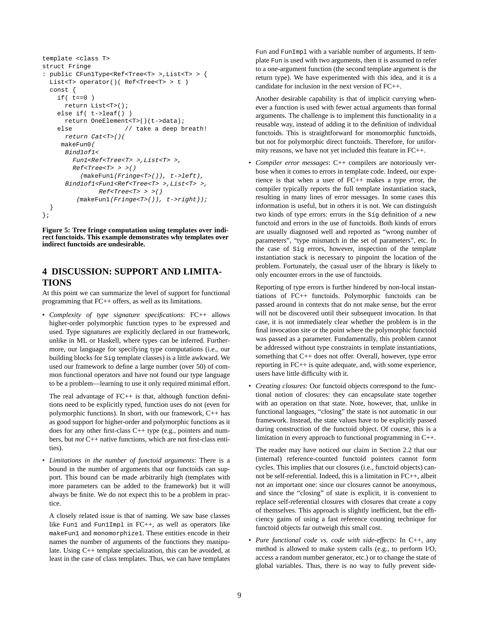```
template <class T>
struct Fringe
: public CFun1Type<Ref<Tree<T> >,List<T> > {
 List<T> operator()( Ref<Tree<T> > t )
 const {
    if(f \neq t == 0)return List<T>();
    else if( t->leaf() )
      return OneElement<T>()(t->data);
    else // take a deep breath!
      return Cat<T>()(
     makeFun0(
      Bind1of1<
        Fun1<Ref<Tree<T> >,List<T> >,
        Ref < Tree < T > > >()(makeFun1(Fringe<T>()), t->left),
      Bind1of1<Fun1<Ref<Tree<T> >,List<T> >,
               Ref < Tree < T > > >()(makeFun1(Fringe<T>()), t->right));
 }
};
```
**Figure 5: Tree fringe computation using templates over indirect functoids. This example demonstrates why templates over indirect functoids are undesirable.**

# **4 DISCUSSION: SUPPORT AND LIMITA-TIONS**

At this point we can summarize the level of support for functional programming that FC++ offers, as well as its limitations.

• *Complexity of type signature specifications*: FC++ allows higher-order polymorphic function types to be expressed and used. Type signatures are explicitly declared in our framework, unlike in ML or Haskell, where types can be inferred. Furthermore, our language for specifying type computations (i.e., our building blocks for Sig template classes) is a little awkward. We used our framework to define a large number (over 50) of common functional operators and have not found our type language to be a problem—learning to use it only required minimal effort.

The real advantage of FC++ is that, although function definitions need to be explicitly typed, function uses do not (even for polymorphic functions). In short, with our framework, C++ has as good support for higher-order and polymorphic functions as it does for any other first-class C++ type (e.g., pointers and numbers, but *not* C++ native functions, which are not first-class entities).

• *Limitations in the number of functoid arguments*: There is a bound in the number of arguments that our functoids can support. This bound can be made arbitrarily high (templates with more parameters can be added to the framework) but it will always be finite. We do not expect this to be a problem in practice.

A closely related issue is that of naming. We saw base classes like Fun1 and Fun1Impl in FC++, as well as operators like makeFun1 and monomorphize1. These entities encode in their names the number of arguments of the functions they manipulate. Using C++ template specialization, this can be avoided, at least in the case of class templates. Thus, we can have templates Fun and FunImpl with a variable number of arguments. If template Fun is used with two arguments, then it is assumed to refer to a one-argument function (the second template argument is the return type). We have experimented with this idea, and it is a candidate for inclusion in the next version of FC++.

Another desirable capability is that of implicit currying whenever a function is used with fewer actual arguments than formal arguments. The challenge is to implement this functionality in a reusable way, instead of adding it to the definition of individual functoids. This is straightforward for monomorphic functoids, but not for polymorphic direct functoids. Therefore, for uniformity reasons, we have not yet included this feature in FC++.

• *Compiler error messages*: C++ compilers are notoriously verbose when it comes to errors in template code. Indeed, our experience is that when a user of FC++ makes a type error, the compiler typically reports the full template instantiation stack, resulting in many lines of error messages. In some cases this information is useful, but in others it is not. We can distinguish two kinds of type errors: errors in the Sig definition of a new functoid and errors in the use of functoids. Both kinds of errors are usually diagnosed well and reported as "wrong number of parameters", "type mismatch in the set of parameters", etc. In the case of Sig errors, however, inspection of the template instantiation stack is necessary to pinpoint the location of the problem. Fortunately, the casual user of the library is likely to only encounter errors in the use of functoids.

Reporting of type errors is further hindered by non-local instantiations of FC++ functoids. Polymorphic functoids can be passed around in contexts that do not make sense, but the error will not be discovered until their subsequent invocation. In that case, it is not immediately clear whether the problem is in the final invocation site or the point where the polymorphic functoid was passed as a parameter. Fundamentally, this problem cannot be addressed without type constraints in template instantiations, something that C++ does not offer. Overall, however, type error reporting in FC++ is quite adequate, and, with some experience, users have little difficulty with it.

• *Creating closures*: Our functoid objects correspond to the functional notion of closures: they can encapsulate state together with an operation on that state. Note, however, that, unlike in functional languages, "closing" the state is not automatic in our framework. Instead, the state values have to be explicitly passed during construction of the functoid object. Of course, this is a limitation in every approach to functional programming in C++.

The reader may have noticed our claim in [Section 2.2](#page-2-0) that our (internal) reference-counted functoid pointers cannot form cycles. This implies that our closures (i.e., functoid objects) cannot be self-referential. Indeed, this is a limitation in FC++, albeit not an important one: since our closures cannot be anonymous, and since the "closing" of state is explicit, it is convenient to replace self-referential closures with closures that create a copy of themselves. This approach is slightly inefficient, but the efficiency gains of using a fast reference counting technique for functoid objects far outweigh this small cost.

• *Pure functional code vs. code with side-effects*: In C++, any method is allowed to make system calls (e.g., to perform I/O, access a random number generator, etc.) or to change the state of global variables. Thus, there is no way to fully prevent side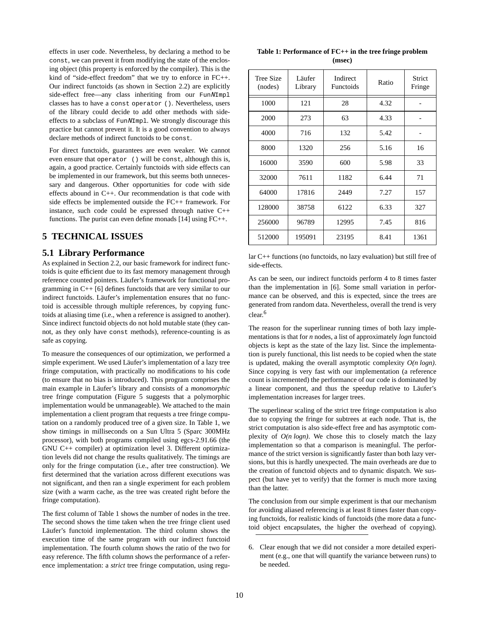<span id="page-9-0"></span>effects in user code. Nevertheless, by declaring a method to be const, we can prevent it from modifying the state of the enclosing object (this property is enforced by the compiler). This is the kind of "side-effect freedom" that we try to enforce in FC++. Our indirect functoids (as shown in [Section 2.2](#page-2-0)) are explicitly side-effect free—any class inheriting from our FunNImpl classes has to have a const operator (). Nevertheless, users of the library could decide to add other methods with sideeffects to a subclass of FunNImpl. We strongly discourage this practice but cannot prevent it. It is a good convention to always declare methods of indirect functoids to be const.

For direct functoids, guarantees are even weaker. We cannot even ensure that operator () will be const, although this is, again, a good practice. Certainly functoids with side effects can be implemented in our framework, but this seems both unnecessary and dangerous. Other opportunities for code with side effects abound in C++. Our recommendation is that code with side effects be implemented outside the FC++ framework. For instance, such code could be expressed through native C++ functions. The purist can even define monads [\[14\]](#page-11-0) using FC++.

## **5 TECHNICAL ISSUES**

#### **5.1 Library Performance**

As explained in [Section 2.2,](#page-2-0) our basic framework for indirect functoids is quite efficient due to its fast memory management through reference counted pointers. Läufer's framework for functional programming in C++ [\[6\]](#page-11-0) defines functoids that are very similar to our indirect functoids. Läufer's implementation ensures that no functoid is accessible through multiple references, by copying functoids at aliasing time (i.e., when a reference is assigned to another). Since indirect functoid objects do not hold mutable state (they cannot, as they only have const methods), reference-counting is as safe as copying.

To measure the consequences of our optimization, we performed a simple experiment. We used Läufer's implementation of a lazy tree fringe computation, with practically no modifications to his code (to ensure that no bias is introduced). This program comprises the main example in Läufer's library and consists of a *monomorphic* tree fringe computation [\(Figure 5](#page-8-0) suggests that a polymorphic implementation would be unmanageable). We attached to the main implementation a client program that requests a tree fringe computation on a randomly produced tree of a given size. In Table 1, we show timings in milliseconds on a Sun Ultra 5 (Sparc 300MHz processor), with both programs compiled using egcs-2.91.66 (the GNU C++ compiler) at optimization level 3. Different optimization levels did not change the results qualitatively. The timings are only for the fringe computation (i.e., after tree construction). We first determined that the variation across different executions was not significant, and then ran a single experiment for each problem size (with a warm cache, as the tree was created right before the fringe computation).

The first column of Table 1 shows the number of nodes in the tree. The second shows the time taken when the tree fringe client used Läufer's functoid implementation. The third column shows the execution time of the same program with our indirect functoid implementation. The fourth column shows the ratio of the two for easy reference. The fifth column shows the performance of a reference implementation: a *strict* tree fringe computation, using regu-

**Table 1: Performance of FC++ in the tree fringe problem (msec)**

| Tree Size<br>(nodes) | Läufer<br>Library | Indirect<br>Functoids | Ratio | Strict<br>Fringe |
|----------------------|-------------------|-----------------------|-------|------------------|
| 1000                 | 121               | 28                    | 4.32  |                  |
| 2000                 | 273               | 63                    | 4.33  |                  |
| 4000                 | 716               | 132                   | 5.42  |                  |
| 8000                 | 1320              | 256                   | 5.16  | 16               |
| 16000                | 3590              | 600                   | 5.98  | 33               |
| 32000                | 7611              | 1182                  | 6.44  | 71               |
| 64000                | 17816             | 2449                  | 7.27  | 157              |
| 128000               | 38758             | 6122                  | 6.33  | 327              |
| 256000               | 96789             | 12995                 | 7.45  | 816              |
| 512000               | 195091            | 23195                 | 8.41  | 1361             |

lar C++ functions (no functoids, no lazy evaluation) but still free of side-effects.

As can be seen, our indirect functoids perform 4 to 8 times faster than the implementation in [\[6\]](#page-11-0). Some small variation in performance can be observed, and this is expected, since the trees are generated from random data. Nevertheless, overall the trend is very clear.6

The reason for the superlinear running times of both lazy implementations is that for *n* nodes, a list of approximately *logn* functoid objects is kept as the state of the lazy list. Since the implementation is purely functional, this list needs to be copied when the state is updated, making the overall asymptotic complexity *O(n logn)*. Since copying is very fast with our implementation (a reference count is incremented) the performance of our code is dominated by a linear component, and thus the speedup relative to Läufer's implementation increases for larger trees.

The superlinear scaling of the strict tree fringe computation is also due to copying the fringe for subtrees at each node. That is, the strict computation is also side-effect free and has asymptotic complexity of *O(n logn)*. We chose this to closely match the lazy implementation so that a comparison is meaningful. The performance of the strict version is significantly faster than both lazy versions, but this is hardly unexpected. The main overheads are due to the creation of functoid objects and to dynamic dispatch. We suspect (but have yet to verify) that the former is much more taxing than the latter.

The conclusion from our simple experiment is that our mechanism for avoiding aliased referencing is at least 8 times faster than copying functoids, for realistic kinds of functoids (the more data a functoid object encapsulates, the higher the overhead of copying).

<sup>6.</sup> Clear enough that we did not consider a more detailed experiment (e.g., one that will quantify the variance between runs) to be needed.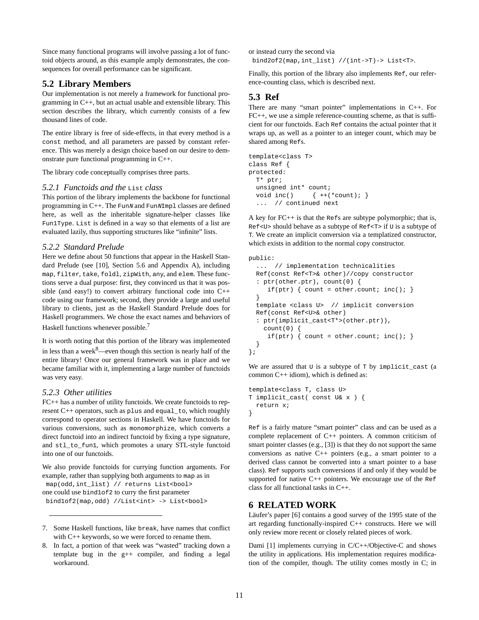<span id="page-10-0"></span>Since many functional programs will involve passing a lot of functoid objects around, as this example amply demonstrates, the consequences for overall performance can be significant.

## **5.2 Library Members**

Our implementation is not merely a framework for functional programming in C++, but an actual usable and extensible library. This section describes the library, which currently consists of a few thousand lines of code.

The entire library is free of side-effects, in that every method is a const method, and all parameters are passed by constant reference. This was merely a design choice based on our desire to demonstrate pure functional programming in C++.

The library code conceptually comprises three parts.

#### *5.2.1 Functoids and the* List *class*

This portion of the library implements the backbone for functional programming in C++. The FunN and FunNImpl classes are defined here, as well as the inheritable signature-helper classes like Fun1Type. List is defined in a way so that elements of a list are evaluated lazily, thus supporting structures like "infinite" lists.

#### *5.2.2 Standard Prelude*

Here we define about 50 functions that appear in the Haskell Standard Prelude (see [\[10\],](#page-11-0) Section 5.6 and Appendix A), including map, filter, take, foldl, zipWith, any, and elem. These functions serve a dual purpose: first, they convinced us that it was possible (and easy!) to convert arbitrary functional code into C++ code using our framework; second, they provide a large and useful library to clients, just as the Haskell Standard Prelude does for Haskell programmers. We chose the exact names and behaviors of Haskell functions whenever possible.<sup>7</sup>

It is worth noting that this portion of the library was implemented in less than a week<sup>8</sup>—even though this section is nearly half of the entire library! Once our general framework was in place and we became familiar with it, implementing a large number of functoids was very easy.

#### *5.2.3 Other utilities*

FC++ has a number of utility functoids. We create functoids to represent C++ operators, such as plus and equal\_to, which roughly correspond to operator sections in Haskell. We have functoids for various conversions, such as monomorphize, which converts a direct functoid into an indirect functoid by fixing a type signature, and stl\_to\_fun1, which promotes a unary STL-style functoid into one of our functoids.

We also provide functoids for currying function arguments. For example, rather than supplying both arguments to map as in map(odd,int\_list) // returns List<bool> one could use bind1of2 to curry the first parameter bind1of2(map,odd) //List<int> -> List<bool>

or instead curry the second via bind2of2(map,int\_list) //(int->T)-> List<T>.

Finally, this portion of the library also implements Ref, our reference-counting class, which is described next.

# **5.3 Ref**

There are many "smart pointer" implementations in C++. For FC++, we use a simple reference-counting scheme, as that is sufficient for our functoids. Each Ref contains the actual pointer that it wraps up, as well as a pointer to an integer count, which may be shared among Refs.

```
template<class T>
class Ref {
protected:
  T* ptr;
  unsigned int* count;
  void inc() \{ ++( * count) \}... // continued next
```
A key for FC++ is that the Refs are subtype polymorphic; that is, Ref<U> should behave as a subtype of Ref<T> if U is a subtype of T. We create an implicit conversion via a templatized constructor, which exists in addition to the normal copy constructor.

```
public:
  ... // implementation technicalities
 Ref(const Ref<T>& other)//copy constructor
  : ptr(other.ptr), count(0) {
     if(ptr) { count = other.count; inc(); }}
  template <class U> // implicit conversion
 Ref(const Ref<II>& other)
  : ptr(implicit_cast<T*>(other.ptr)),
    count(0) {
     if(ptr) { count = other.count; inc(); }}
};
```
We are assured that  $U$  is a subtype of  $T$  by implicit\_cast (a common C++ idiom), which is defined as:

```
template<class T, class U>
T implicit_cast( const U& x ) {
 return x;
}
```
Ref is a fairly mature "smart pointer" class and can be used as a complete replacement of C++ pointers. A common criticism of smart pointer classes (e.g., [\[3\]\)](#page-11-0) is that they do not support the same conversions as native C++ pointers (e.g., a smart pointer to a derived class cannot be converted into a smart pointer to a base class). Ref supports such conversions if and only if they would be supported for native  $C_{++}$  pointers. We encourage use of the Ref class for all functional tasks in C++.

## **6 RELATED WORK**

Läufer's paper [\[6\]](#page-11-0) contains a good survey of the 1995 state of the art regarding functionally-inspired C++ constructs. Here we will only review more recent or closely related pieces of work.

Dami [\[1\]](#page-11-0) implements currying in C/C++/Objective-C and shows the utility in applications. His implementation requires modification of the compiler, though. The utility comes mostly in C; in

<sup>7.</sup> Some Haskell functions, like break, have names that conflict with C++ keywords, so we were forced to rename them.

<sup>8.</sup> In fact, a portion of that week was "wasted" tracking down a template bug in the g++ compiler, and finding a legal workaround.